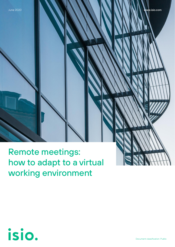Remote meetings: how to adapt to a virtual working environment



Document classification: Public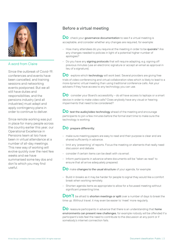

### A word from Claire

Since the outbreak of Covid-19, conferences and events have been cancelled, and training sessions and networking events postponed. But we all still have duties and responsibilities, and the pensions industry (and all industries) must adapt and apply contingency plans in order to continue to deliver.

Since remote working was put in place for many people across the country earlier this year, our Operational Excellence in Pensions team at Isio have been in virtual attendance at a number of all-day meetings. This new way of working will evolve quickly over the next few weeks and we have summarised some key dos and don'ts which you may find useful.

# Before a virtual meeting

Do check your governance documentation to see if a virtual meeting is acceptable, and consider whether any changes are required, for example:

- How many attendees do you require at the meeting in order to be quorate? Are any changes needed to policies in light of a potential higher number of apologies?
- Do you have any signing protocols that will require adapting, e.g. signing off previous minutes (use an electronic signature or accept an email as approval in lieu of a signature).

Do explore which technology will work best. Several providers are giving free trials of video conferencing and virtual collaboration sites which is likely to lead to a more dynamic virtual meeting than using traditional conference calls. Ask your advisers if they have access to any technology you can use.

 $\overline{\mathsf{Do}}\;$  consider your Board's accessibility – do all have access to laptops or a smart device in order to make video calls? Does anybody have any visual or hearing impairments that need to be considered?

DO test the audio/video technology ahead of the meeting and encourage participants to join a few minutes before the formal start time to make sure the technology is working.

### Do prepare differently:

- make sure meeting papers are easy to read and their purpose is clear and are shared sufficiently in advance.
- limit any 'presenting' of reports. Focus the meeting on elements that really need discussion and debate.
- consider if certain items can be dealt with via email.
- Inform participants in advance where documents will be "taken as read" to ensure that all arrive adequately prepared.

DO make changes to the usual structure of your agenda, for example:

- Build in breaks as it may be harder for people to signal they would like a comfort break when working remotely.
- Shorten agenda items as appropriate to allow for a focussed meeting without significant presenting time.

 $Don't$  be afraid to shorten meetings or split over a number of days to break the time up. Without travel, it may even be easier to 'meet' more regularly.

Do reassure participants in advance that there is an understanding that home environments can present new challenges, for example nobody will be offended if a participant's kids feel the need to contribute to the discussion at any point or if somebody's internet connection fails.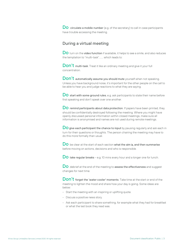$\overline{\mathsf{Do}}\;$  circulate a mobile number (e.g. of the secretary) to call in case participants have trouble accessing the meeting.

## During a virtual meeting

Do turn on the video function if available, it helps to see a smile, and also reduces the temptation to "multi-task"….… which leads to:

Don't multi-task. Treat it like an ordinary meeting and give it your full concentration.

Don't automatically assume you should mute yourself when not speaking. Unless you have background noise, it's important for the other people on the call to be able to hear you and judge reactions to what they are saying.

Do start with some ground rules, e.g. ask participants to state their name before first speaking and don't speak over one another.

DO remind participants about data protection. If papers have been printed, they should be confidentially destroyed following the meeting. Where you might have openly discussed personal information within closed meetings, make sure all information is anonymised and names are not used during remote meetings.

 $\overline{\mathsf{Do}}$  give each participant the chance to input by pausing regularly and ask each in turn for their questions or thoughts. The person chairing the meeting may have to do this more formally than usual.

DO be clear at the start of each section what the aim is, and then summarise before moving on actions, decisions and who is responsible.

 $\overline{D}$  take regular breaks – e.g. 10 mins every hour and a longer one for lunch.

Do debrief at the end of the meeting to assess the effectiveness and suggest changes for next time.

Don't forget the 'water cooler' moments. Take time at the start or end of the meeting to lighten the mood and share how your day is going. Some ideas are below:

- Start the meeting with an inspiring or uplifting quote.
- Discuss a positive news story.
- Ask each participant to share something, for example what they had for breakfast or what the last book they read was.